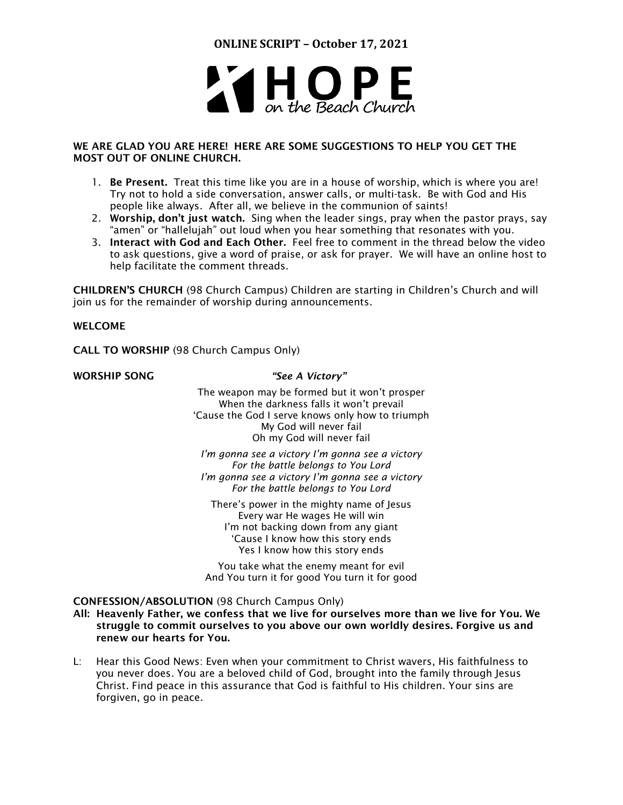

# WE ARE GLAD YOU ARE HERE! HERE ARE SOME SUGGESTIONS TO HELP YOU GET THE MOST OUT OF ONLINE CHURCH.

- 1. Be Present. Treat this time like you are in a house of worship, which is where you are! Try not to hold a side conversation, answer calls, or multi-task. Be with God and His people like always. After all, we believe in the communion of saints!
- 2. Worship, don't just watch. Sing when the leader sings, pray when the pastor prays, say "amen" or "hallelujah" out loud when you hear something that resonates with you.
- 3. Interact with God and Each Other. Feel free to comment in the thread below the video to ask questions, give a word of praise, or ask for prayer. We will have an online host to help facilitate the comment threads.

CHILDREN'S CHURCH (98 Church Campus) Children are starting in Children's Church and will join us for the remainder of worship during announcements.

# WELCOME

CALL TO WORSHIP (98 Church Campus Only)

### WORSHIP SONG *"See A Victory"*

The weapon may be formed but it won't prosper When the darkness falls it won't prevail 'Cause the God I serve knows only how to triumph My God will never fail Oh my God will never fail

*I'm gonna see a victory I'm gonna see a victory For the battle belongs to You Lord I'm gonna see a victory I'm gonna see a victory For the battle belongs to You Lord*

There's power in the mighty name of Jesus Every war He wages He will win I'm not backing down from any giant 'Cause I know how this story ends Yes I know how this story ends

You take what the enemy meant for evil And You turn it for good You turn it for good

#### CONFESSION/ABSOLUTION (98 Church Campus Only)

All: Heavenly Father, we confess that we live for ourselves more than we live for You. We struggle to commit ourselves to you above our own worldly desires. Forgive us and renew our hearts for You.

L: Hear this Good News: Even when your commitment to Christ wavers, His faithfulness to you never does. You are a beloved child of God, brought into the family through Jesus Christ. Find peace in this assurance that God is faithful to His children. Your sins are forgiven, go in peace.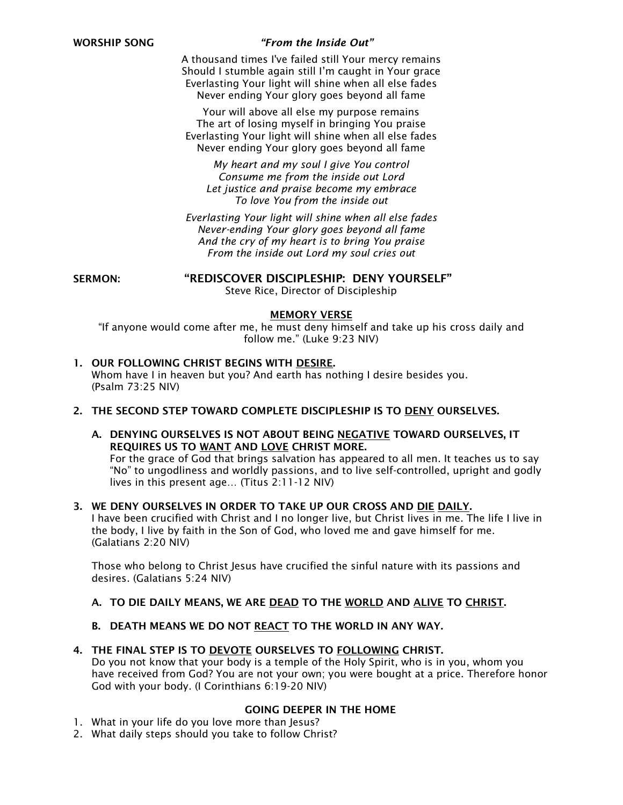# WORSHIP SONG *"From the Inside Out"*

A thousand times I've failed still Your mercy remains Should I stumble again still I'm caught in Your grace Everlasting Your light will shine when all else fades Never ending Your glory goes beyond all fame

Your will above all else my purpose remains The art of losing myself in bringing You praise Everlasting Your light will shine when all else fades Never ending Your glory goes beyond all fame

*My heart and my soul I give You control Consume me from the inside out Lord Let justice and praise become my embrace To love You from the inside out*

*Everlasting Your light will shine when all else fades Never-ending Your glory goes beyond all fame And the cry of my heart is to bring You praise From the inside out Lord my soul cries out*

SERMON: "REDISCOVER DISCIPLESHIP: DENY YOURSELF" Steve Rice, Director of Discipleship

### MEMORY VERSE

"If anyone would come after me, he must deny himself and take up his cross daily and follow me." (Luke 9:23 NIV)

- 1. OUR FOLLOWING CHRIST BEGINS WITH DESIRE. Whom have I in heaven but you? And earth has nothing I desire besides you. (Psalm 73:25 NIV)
- 2. THE SECOND STEP TOWARD COMPLETE DISCIPLESHIP IS TO DENY OURSELVES.

#### A. DENYING OURSELVES IS NOT ABOUT BEING NEGATIVE TOWARD OURSELVES, IT REQUIRES US TO WANT AND LOVE CHRIST MORE. For the grace of God that brings salvation has appeared to all men. It teaches us to say "No" to ungodliness and worldly passions, and to live self-controlled, upright and godly lives in this present age… (Titus 2:11-12 NIV)

# 3. WE DENY OURSELVES IN ORDER TO TAKE UP OUR CROSS AND DIE DAILY.

I have been crucified with Christ and I no longer live, but Christ lives in me. The life I live in the body, I live by faith in the Son of God, who loved me and gave himself for me. (Galatians 2:20 NIV)

Those who belong to Christ Jesus have crucified the sinful nature with its passions and desires. (Galatians 5:24 NIV)

# A. TO DIE DAILY MEANS, WE ARE DEAD TO THE WORLD AND ALIVE TO CHRIST.

B. DEATH MEANS WE DO NOT REACT TO THE WORLD IN ANY WAY.

# 4. THE FINAL STEP IS TO DEVOTE OURSELVES TO FOLLOWING CHRIST.

Do you not know that your body is a temple of the Holy Spirit, who is in you, whom you have received from God? You are not your own; you were bought at a price. Therefore honor God with your body. (I Corinthians 6:19-20 NIV)

# GOING DEEPER IN THE HOME

- 1. What in your life do you love more than Jesus?
- 2. What daily steps should you take to follow Christ?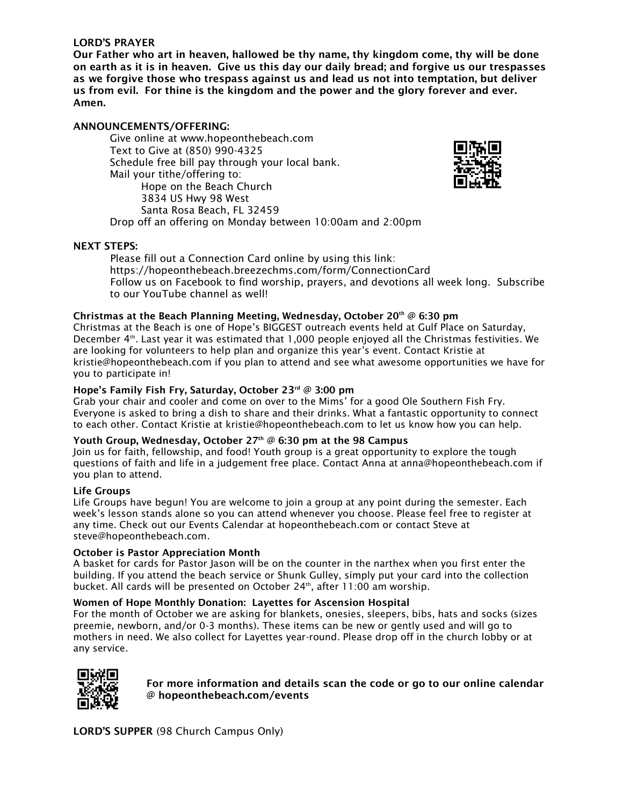#### LORD'S PRAYER

Our Father who art in heaven, hallowed be thy name, thy kingdom come, thy will be done on earth as it is in heaven. Give us this day our daily bread; and forgive us our trespasses as we forgive those who trespass against us and lead us not into temptation, but deliver us from evil. For thine is the kingdom and the power and the glory forever and ever. Amen.

# ANNOUNCEMENTS/OFFERING:

Give online at [www.hopeonthebeach.com](http://www.hopeonthebeach.com/) Text to Give at (850) 990-4325 Schedule free bill pay through your local bank. Mail your tithe/offering to: Hope on the Beach Church 3834 US Hwy 98 West Santa Rosa Beach, FL 32459 Drop off an offering on Monday between 10:00am and 2:00pm



#### NEXT STEPS:

Please fill out a Connection Card online by using this link: <https://hopeonthebeach.breezechms.com/form/ConnectionCard> Follow us on Facebook to find worship, prayers, and devotions all week long. Subscribe to our YouTube channel as well!

### Christmas at the Beach Planning Meeting, Wednesday, October 20th @ 6:30 pm

Christmas at the Beach is one of Hope's BIGGEST outreach events held at Gulf Place on Saturday, December 4<sup>th</sup>. Last year it was estimated that 1,000 people enjoyed all the Christmas festivities. We are looking for volunteers to help plan and organize this year's event. Contact Kristie at kristie@hopeonthebeach.com if you plan to attend and see what awesome opportunities we have for you to participate in!

### Hope's Family Fish Fry, Saturday, October 23rd @ 3:00 pm

Grab your chair and cooler and come on over to the Mims' for a good Ole Southern Fish Fry. Everyone is asked to bring a dish to share and their drinks. What a fantastic opportunity to connect to each other. Contact Kristie at kristie@hopeonthebeach.com to let us know how you can help.

#### Youth Group, Wednesday, October  $27<sup>th</sup>$  @ 6:30 pm at the 98 Campus

Join us for faith, fellowship, and food! Youth group is a great opportunity to explore the tough questions of faith and life in a judgement free place. Contact Anna at [anna@hopeonthebeach.com](mailto:anna@hopeonthebeach.com) if you plan to attend.

#### Life Groups

Life Groups have begun! You are welcome to join a group at any point during the semester. Each week's lesson stands alone so you can attend whenever you choose. Please feel free to register at any time. Check out our Events Calendar at hopeonthebeach.com or contact Steve at steve@hopeonthebeach.com.

#### October is Pastor Appreciation Month

A basket for cards for Pastor Jason will be on the counter in the narthex when you first enter the building. If you attend the beach service or Shunk Gulley, simply put your card into the collection bucket. All cards will be presented on October 24th, after 11:00 am worship.

#### Women of Hope Monthly Donation: Layettes for Ascension Hospital

For the month of October we are asking for blankets, onesies, sleepers, bibs, hats and socks (sizes preemie, newborn, and/or 0-3 months). These items can be new or gently used and will go to mothers in need. We also collect for Layettes year-round. Please drop off in the church lobby or at any service.



### For more information and details scan the code or go to our online calendar @ hopeonthebeach.com/events

LORD'S SUPPER (98 Church Campus Only)